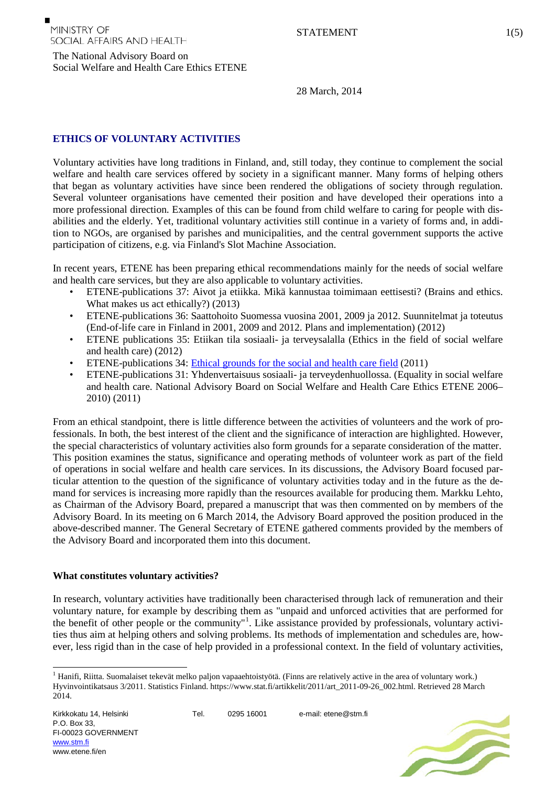The National Advisory Board on

28 March, 2014

# **ETHICS OF VOLUNTARY ACTIVITIES**

Social Welfare and Health Care Ethics ETENE

Voluntary activities have long traditions in Finland, and, still today, they continue to complement the social welfare and health care services offered by society in a significant manner. Many forms of helping others that began as voluntary activities have since been rendered the obligations of society through regulation. Several volunteer organisations have cemented their position and have developed their operations into a more professional direction. Examples of this can be found from child welfare to caring for people with disabilities and the elderly. Yet, traditional voluntary activities still continue in a variety of forms and, in addition to NGOs, are organised by parishes and municipalities, and the central government supports the active participation of citizens, e.g. via Finland's Slot Machine Association.

In recent years, ETENE has been preparing ethical recommendations mainly for the needs of social welfare and health care services, but they are also applicable to voluntary activities.

- ETENE-publications 37: Aivot ja etiikka. Mikä kannustaa toimimaan eettisesti? (Brains and ethics. What makes us act ethically?) (2013)
- ETENE-publications 36: Saattohoito Suomessa vuosina 2001, 2009 ja 2012. Suunnitelmat ja toteutus (End-of-life care in Finland in 2001, 2009 and 2012. Plans and implementation) (2012)
- ETENE publications 35: Etiikan tila sosiaali- ja terveysalalla (Ethics in the field of social welfare and health care) (2012)
- ETENE-publications 34: [Ethical grounds for the social and health care field](http://www.etene.fi/c/document_library/get_file?folderId=190083&name=DLFE-3107.pdf) (2011)
- ETENE-publications 31: Yhdenvertaisuus sosiaali- ja terveydenhuollossa. (Equality in social welfare and health care. National Advisory Board on Social Welfare and Health Care Ethics ETENE 2006– 2010) (2011)

From an ethical standpoint, there is little difference between the activities of volunteers and the work of professionals. In both, the best interest of the client and the significance of interaction are highlighted. However, the special characteristics of voluntary activities also form grounds for a separate consideration of the matter. This position examines the status, significance and operating methods of volunteer work as part of the field of operations in social welfare and health care services. In its discussions, the Advisory Board focused particular attention to the question of the significance of voluntary activities today and in the future as the demand for services is increasing more rapidly than the resources available for producing them. Markku Lehto, as Chairman of the Advisory Board, prepared a manuscript that was then commented on by members of the Advisory Board. In its meeting on 6 March 2014, the Advisory Board approved the position produced in the above-described manner. The General Secretary of ETENE gathered comments provided by the members of the Advisory Board and incorporated them into this document.

### **What constitutes voluntary activities?**

In research, voluntary activities have traditionally been characterised through lack of remuneration and their voluntary nature, for example by describing them as "unpaid and unforced activities that are performed for the benefit of other people or the community"<sup>[1](#page-0-0)</sup>. Like assistance provided by professionals, voluntary activities thus aim at helping others and solving problems. Its methods of implementation and schedules are, however, less rigid than in the case of help provided in a professional context. In the field of voluntary activities,

Tel. 0295 16001 e-mail: etene@stm.fi



<span id="page-0-0"></span><sup>&</sup>lt;sup>1</sup> Hanifi, Riitta. Suomalaiset tekevät melko paljon vapaaehtoistyötä. (Finns are relatively active in the area of voluntary work.) Hyvinvointikatsaus 3/2011. Statistics Finland. https://www.stat.fi/artikkelit/2011/art\_2011-09-26\_002.html. Retrieved 28 March 2014.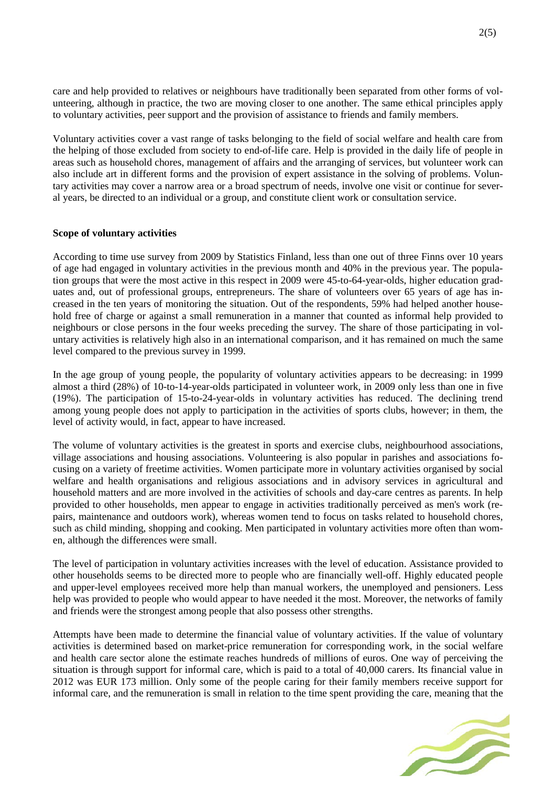care and help provided to relatives or neighbours have traditionally been separated from other forms of volunteering, although in practice, the two are moving closer to one another. The same ethical principles apply to voluntary activities, peer support and the provision of assistance to friends and family members.

Voluntary activities cover a vast range of tasks belonging to the field of social welfare and health care from the helping of those excluded from society to end-of-life care. Help is provided in the daily life of people in areas such as household chores, management of affairs and the arranging of services, but volunteer work can also include art in different forms and the provision of expert assistance in the solving of problems. Voluntary activities may cover a narrow area or a broad spectrum of needs, involve one visit or continue for several years, be directed to an individual or a group, and constitute client work or consultation service.

### **Scope of voluntary activities**

According to time use survey from 2009 by Statistics Finland, less than one out of three Finns over 10 years of age had engaged in voluntary activities in the previous month and 40% in the previous year. The population groups that were the most active in this respect in 2009 were 45-to-64-year-olds, higher education graduates and, out of professional groups, entrepreneurs. The share of volunteers over 65 years of age has increased in the ten years of monitoring the situation. Out of the respondents, 59% had helped another household free of charge or against a small remuneration in a manner that counted as informal help provided to neighbours or close persons in the four weeks preceding the survey. The share of those participating in voluntary activities is relatively high also in an international comparison, and it has remained on much the same level compared to the previous survey in 1999.

In the age group of young people, the popularity of voluntary activities appears to be decreasing: in 1999 almost a third (28%) of 10-to-14-year-olds participated in volunteer work, in 2009 only less than one in five (19%). The participation of 15-to-24-year-olds in voluntary activities has reduced. The declining trend among young people does not apply to participation in the activities of sports clubs, however; in them, the level of activity would, in fact, appear to have increased.

The volume of voluntary activities is the greatest in sports and exercise clubs, neighbourhood associations, village associations and housing associations. Volunteering is also popular in parishes and associations focusing on a variety of freetime activities. Women participate more in voluntary activities organised by social welfare and health organisations and religious associations and in advisory services in agricultural and household matters and are more involved in the activities of schools and day-care centres as parents. In help provided to other households, men appear to engage in activities traditionally perceived as men's work (repairs, maintenance and outdoors work), whereas women tend to focus on tasks related to household chores, such as child minding, shopping and cooking. Men participated in voluntary activities more often than women, although the differences were small.

The level of participation in voluntary activities increases with the level of education. Assistance provided to other households seems to be directed more to people who are financially well-off. Highly educated people and upper-level employees received more help than manual workers, the unemployed and pensioners. Less help was provided to people who would appear to have needed it the most. Moreover, the networks of family and friends were the strongest among people that also possess other strengths.

Attempts have been made to determine the financial value of voluntary activities. If the value of voluntary activities is determined based on market-price remuneration for corresponding work, in the social welfare and health care sector alone the estimate reaches hundreds of millions of euros. One way of perceiving the situation is through support for informal care, which is paid to a total of 40,000 carers. Its financial value in 2012 was EUR 173 million. Only some of the people caring for their family members receive support for informal care, and the remuneration is small in relation to the time spent providing the care, meaning that the

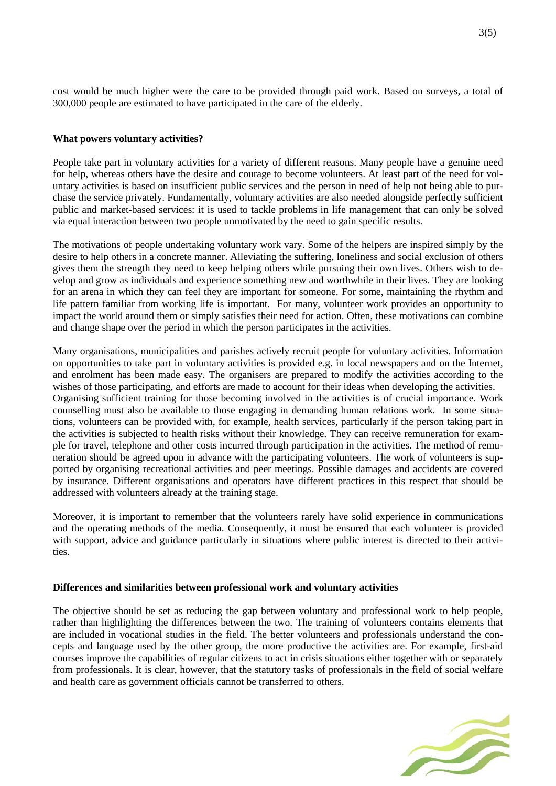cost would be much higher were the care to be provided through paid work. Based on surveys, a total of 300,000 people are estimated to have participated in the care of the elderly.

## **What powers voluntary activities?**

People take part in voluntary activities for a variety of different reasons. Many people have a genuine need for help, whereas others have the desire and courage to become volunteers. At least part of the need for voluntary activities is based on insufficient public services and the person in need of help not being able to purchase the service privately. Fundamentally, voluntary activities are also needed alongside perfectly sufficient public and market-based services: it is used to tackle problems in life management that can only be solved via equal interaction between two people unmotivated by the need to gain specific results.

The motivations of people undertaking voluntary work vary. Some of the helpers are inspired simply by the desire to help others in a concrete manner. Alleviating the suffering, loneliness and social exclusion of others gives them the strength they need to keep helping others while pursuing their own lives. Others wish to develop and grow as individuals and experience something new and worthwhile in their lives. They are looking for an arena in which they can feel they are important for someone. For some, maintaining the rhythm and life pattern familiar from working life is important. For many, volunteer work provides an opportunity to impact the world around them or simply satisfies their need for action. Often, these motivations can combine and change shape over the period in which the person participates in the activities.

Many organisations, municipalities and parishes actively recruit people for voluntary activities. Information on opportunities to take part in voluntary activities is provided e.g. in local newspapers and on the Internet, and enrolment has been made easy. The organisers are prepared to modify the activities according to the wishes of those participating, and efforts are made to account for their ideas when developing the activities. Organising sufficient training for those becoming involved in the activities is of crucial importance. Work counselling must also be available to those engaging in demanding human relations work. In some situations, volunteers can be provided with, for example, health services, particularly if the person taking part in the activities is subjected to health risks without their knowledge. They can receive remuneration for example for travel, telephone and other costs incurred through participation in the activities. The method of remuneration should be agreed upon in advance with the participating volunteers. The work of volunteers is supported by organising recreational activities and peer meetings. Possible damages and accidents are covered by insurance. Different organisations and operators have different practices in this respect that should be addressed with volunteers already at the training stage.

Moreover, it is important to remember that the volunteers rarely have solid experience in communications and the operating methods of the media. Consequently, it must be ensured that each volunteer is provided with support, advice and guidance particularly in situations where public interest is directed to their activities.

### **Differences and similarities between professional work and voluntary activities**

The objective should be set as reducing the gap between voluntary and professional work to help people, rather than highlighting the differences between the two. The training of volunteers contains elements that are included in vocational studies in the field. The better volunteers and professionals understand the concepts and language used by the other group, the more productive the activities are. For example, first-aid courses improve the capabilities of regular citizens to act in crisis situations either together with or separately from professionals. It is clear, however, that the statutory tasks of professionals in the field of social welfare and health care as government officials cannot be transferred to others.

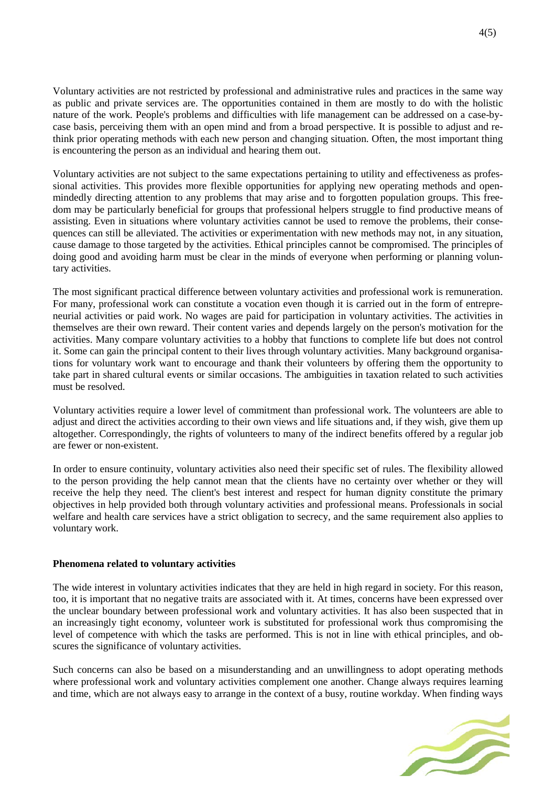Voluntary activities are not restricted by professional and administrative rules and practices in the same way as public and private services are. The opportunities contained in them are mostly to do with the holistic nature of the work. People's problems and difficulties with life management can be addressed on a case-bycase basis, perceiving them with an open mind and from a broad perspective. It is possible to adjust and rethink prior operating methods with each new person and changing situation. Often, the most important thing is encountering the person as an individual and hearing them out.

Voluntary activities are not subject to the same expectations pertaining to utility and effectiveness as professional activities. This provides more flexible opportunities for applying new operating methods and openmindedly directing attention to any problems that may arise and to forgotten population groups. This freedom may be particularly beneficial for groups that professional helpers struggle to find productive means of assisting. Even in situations where voluntary activities cannot be used to remove the problems, their consequences can still be alleviated. The activities or experimentation with new methods may not, in any situation, cause damage to those targeted by the activities. Ethical principles cannot be compromised. The principles of doing good and avoiding harm must be clear in the minds of everyone when performing or planning voluntary activities.

The most significant practical difference between voluntary activities and professional work is remuneration. For many, professional work can constitute a vocation even though it is carried out in the form of entrepreneurial activities or paid work. No wages are paid for participation in voluntary activities. The activities in themselves are their own reward. Their content varies and depends largely on the person's motivation for the activities. Many compare voluntary activities to a hobby that functions to complete life but does not control it. Some can gain the principal content to their lives through voluntary activities. Many background organisations for voluntary work want to encourage and thank their volunteers by offering them the opportunity to take part in shared cultural events or similar occasions. The ambiguities in taxation related to such activities must be resolved.

Voluntary activities require a lower level of commitment than professional work. The volunteers are able to adjust and direct the activities according to their own views and life situations and, if they wish, give them up altogether. Correspondingly, the rights of volunteers to many of the indirect benefits offered by a regular job are fewer or non-existent.

In order to ensure continuity, voluntary activities also need their specific set of rules. The flexibility allowed to the person providing the help cannot mean that the clients have no certainty over whether or they will receive the help they need. The client's best interest and respect for human dignity constitute the primary objectives in help provided both through voluntary activities and professional means. Professionals in social welfare and health care services have a strict obligation to secrecy, and the same requirement also applies to voluntary work.

### **Phenomena related to voluntary activities**

The wide interest in voluntary activities indicates that they are held in high regard in society. For this reason, too, it is important that no negative traits are associated with it. At times, concerns have been expressed over the unclear boundary between professional work and voluntary activities. It has also been suspected that in an increasingly tight economy, volunteer work is substituted for professional work thus compromising the level of competence with which the tasks are performed. This is not in line with ethical principles, and obscures the significance of voluntary activities.

Such concerns can also be based on a misunderstanding and an unwillingness to adopt operating methods where professional work and voluntary activities complement one another. Change always requires learning and time, which are not always easy to arrange in the context of a busy, routine workday. When finding ways